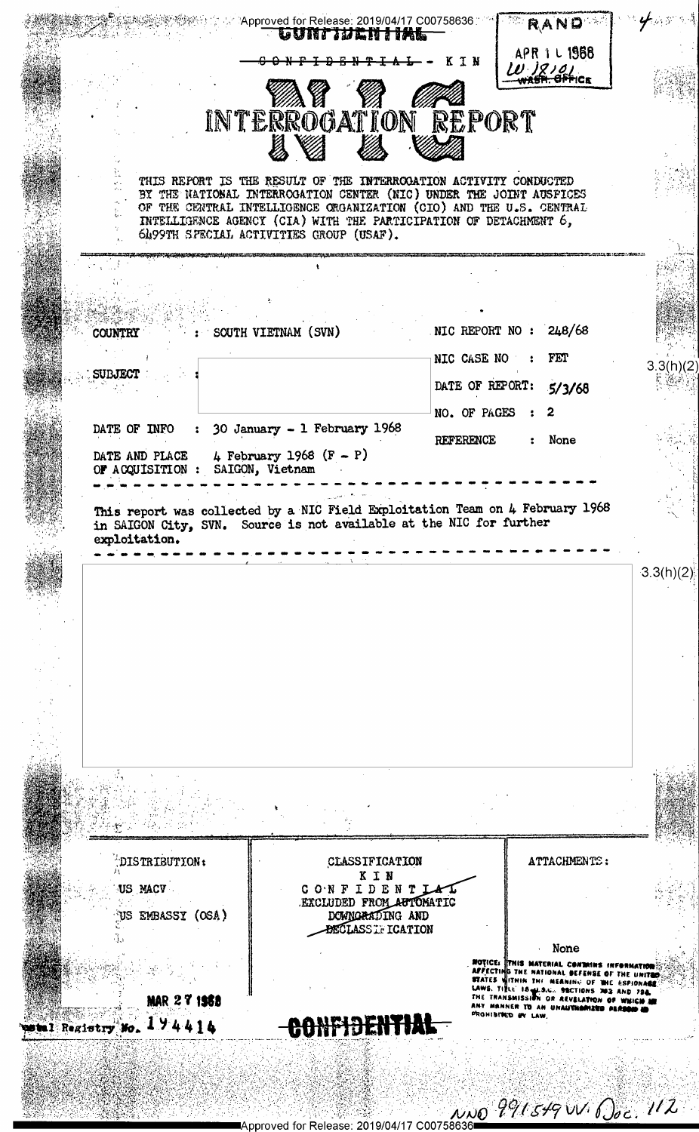

Approved for Release: 2019/04/17 C0075